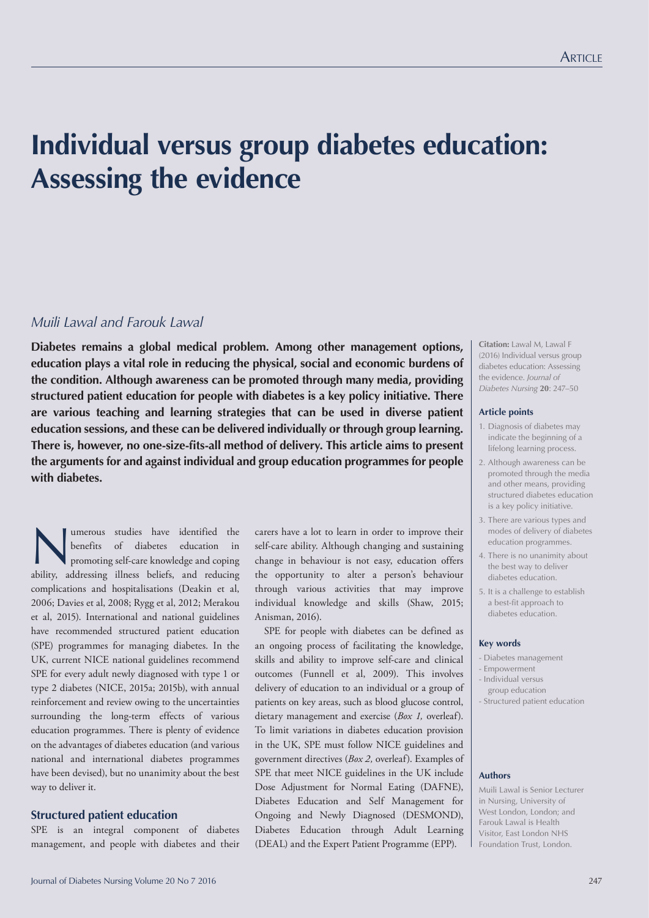# **Individual versus group diabetes education: Assessing the evidence**

# *Muili Lawal and Farouk Lawal*

**Diabetes remains a global medical problem. Among other management options, education plays a vital role in reducing the physical, social and economic burdens of the condition. Although awareness can be promoted through many media, providing structured patient education for people with diabetes is a key policy initiative. There are various teaching and learning strategies that can be used in diverse patient education sessions, and these can be delivered individually or through group learning. There is, however, no one-size-fits-all method of delivery. This article aims to present the arguments for and against individual and group education programmes for people with diabetes.**

Imerous studies have identified the<br>benefits of diabetes education in<br>promoting self-care knowledge and coping<br>hility eddressing illness beliefs and reducing benefits of diabetes education in promoting self-care knowledge and coping ability, addressing illness beliefs, and reducing complications and hospitalisations (Deakin et al, 2006; Davies et al, 2008; Rygg et al, 2012; Merakou et al, 2015). International and national guidelines have recommended structured patient education (SPE) programmes for managing diabetes. In the UK, current NICE national guidelines recommend SPE for every adult newly diagnosed with type 1 or type 2 diabetes (NICE, 2015a; 2015b), with annual reinforcement and review owing to the uncertainties surrounding the long-term effects of various education programmes. There is plenty of evidence on the advantages of diabetes education (and various national and international diabetes programmes have been devised), but no unanimity about the best way to deliver it.

### **Structured patient education**

SPE is an integral component of diabetes management, and people with diabetes and their

carers have a lot to learn in order to improve their self-care ability. Although changing and sustaining change in behaviour is not easy, education offers the opportunity to alter a person's behaviour through various activities that may improve individual knowledge and skills (Shaw, 2015; Anisman, 2016).

SPE for people with diabetes can be defined as an ongoing process of facilitating the knowledge, skills and ability to improve self-care and clinical outcomes (Funnell et al, 2009). This involves delivery of education to an individual or a group of patients on key areas, such as blood glucose control, dietary management and exercise (*Box 1,* overleaf). To limit variations in diabetes education provision in the UK, SPE must follow NICE guidelines and government directives (*Box 2,* overleaf). Examples of SPE that meet NICE guidelines in the UK include Dose Adjustment for Normal Eating (DAFNE), Diabetes Education and Self Management for Ongoing and Newly Diagnosed (DESMOND), Diabetes Education through Adult Learning (DEAL) and the Expert Patient Programme (EPP).

**Citation:** Lawal M, Lawal F (2016) Individual versus group diabetes education: Assessing the evidence. *Journal of Diabetes Nursing* **20**: 247–50

#### **Article points**

- 1. Diagnosis of diabetes may indicate the beginning of a lifelong learning process.
- 2. Although awareness can be promoted through the media and other means, providing structured diabetes education is a key policy initiative.
- 3. There are various types and modes of delivery of diabetes education programmes.
- 4. There is no unanimity about the best way to deliver diabetes education.
- 5. It is a challenge to establish a best-fit approach to diabetes education.

#### **Key words**

- Diabetes management
- Empowerment
- Individual versus group education
- Structured patient education

### **Authors**

Muili Lawal is Senior Lecturer in Nursing, University of West London, London; and Farouk Lawal is Health Visitor, East London NHS Foundation Trust, London.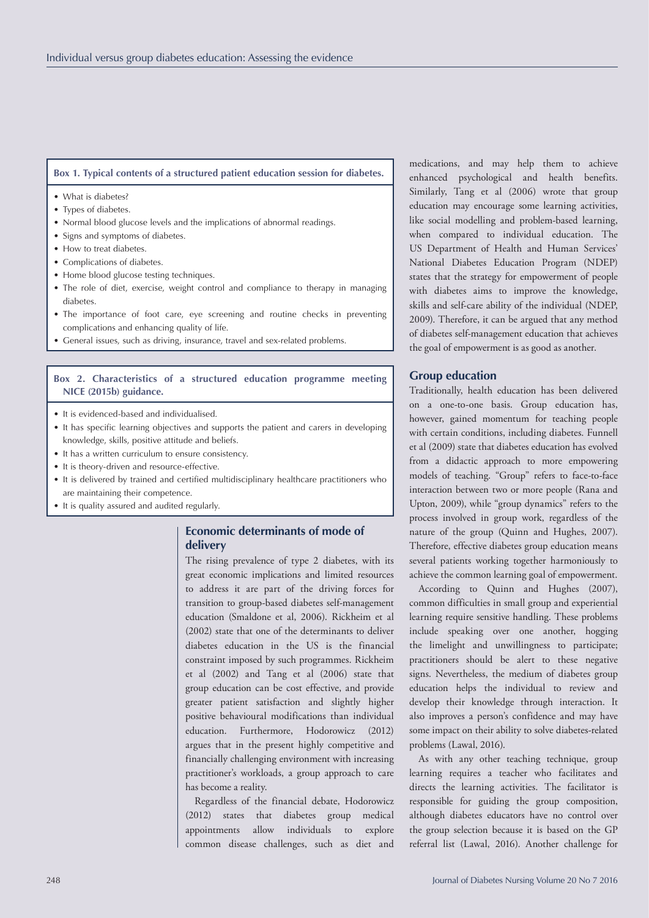## **Box 1. Typical contents of a structured patient education session for diabetes.**

- What is diabetes?
- Types of diabetes.
- Normal blood glucose levels and the implications of abnormal readings.
- Signs and symptoms of diabetes.
- How to treat diabetes
- Complications of diabetes.
- Home blood glucose testing techniques.
- The role of diet, exercise, weight control and compliance to therapy in managing diabetes.
- The importance of foot care, eye screening and routine checks in preventing complications and enhancing quality of life.
- General issues, such as driving, insurance, travel and sex-related problems.

## **Box 2. Characteristics of a structured education programme meeting NICE (2015b) guidance.**

- It is evidenced-based and individualised.
- It has specific learning objectives and supports the patient and carers in developing knowledge, skills, positive attitude and beliefs.
- It has a written curriculum to ensure consistency.
- It is theory-driven and resource-effective.
- It is delivered by trained and certified multidisciplinary healthcare practitioners who are maintaining their competence.
- It is quality assured and audited regularly.

# **Economic determinants of mode of delivery**

The rising prevalence of type 2 diabetes, with its great economic implications and limited resources to address it are part of the driving forces for transition to group-based diabetes self-management education (Smaldone et al, 2006). Rickheim et al (2002) state that one of the determinants to deliver diabetes education in the US is the financial constraint imposed by such programmes. Rickheim et al (2002) and Tang et al (2006) state that group education can be cost effective, and provide greater patient satisfaction and slightly higher positive behavioural modifications than individual education. Furthermore, Hodorowicz (2012) argues that in the present highly competitive and financially challenging environment with increasing practitioner's workloads, a group approach to care has become a reality.

Regardless of the financial debate, Hodorowicz (2012) states that diabetes group medical appointments allow individuals to explore common disease challenges, such as diet and

medications, and may help them to achieve enhanced psychological and health benefits. Similarly, Tang et al (2006) wrote that group education may encourage some learning activities, like social modelling and problem-based learning, when compared to individual education. The US Department of Health and Human Services' National Diabetes Education Program (NDEP) states that the strategy for empowerment of people with diabetes aims to improve the knowledge, skills and self-care ability of the individual (NDEP, 2009). Therefore, it can be argued that any method of diabetes self-management education that achieves the goal of empowerment is as good as another.

## **Group education**

Traditionally, health education has been delivered on a one-to-one basis. Group education has, however, gained momentum for teaching people with certain conditions, including diabetes. Funnell et al (2009) state that diabetes education has evolved from a didactic approach to more empowering models of teaching. "Group" refers to face-to-face interaction between two or more people (Rana and Upton, 2009), while "group dynamics" refers to the process involved in group work, regardless of the nature of the group (Quinn and Hughes, 2007). Therefore, effective diabetes group education means several patients working together harmoniously to achieve the common learning goal of empowerment.

According to Quinn and Hughes (2007), common difficulties in small group and experiential learning require sensitive handling. These problems include speaking over one another, hogging the limelight and unwillingness to participate; practitioners should be alert to these negative signs. Nevertheless, the medium of diabetes group education helps the individual to review and develop their knowledge through interaction. It also improves a person's confidence and may have some impact on their ability to solve diabetes-related problems (Lawal, 2016).

As with any other teaching technique, group learning requires a teacher who facilitates and directs the learning activities. The facilitator is responsible for guiding the group composition, although diabetes educators have no control over the group selection because it is based on the GP referral list (Lawal, 2016). Another challenge for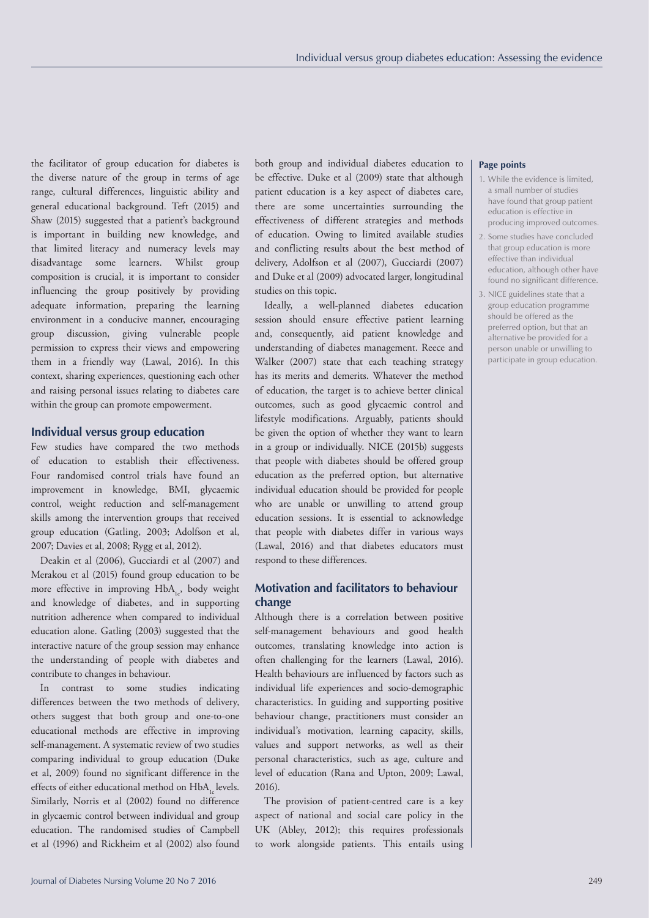the facilitator of group education for diabetes is the diverse nature of the group in terms of age range, cultural differences, linguistic ability and general educational background. Teft (2015) and Shaw (2015) suggested that a patient's background is important in building new knowledge, and that limited literacy and numeracy levels may disadvantage some learners. Whilst group composition is crucial, it is important to consider influencing the group positively by providing adequate information, preparing the learning environment in a conducive manner, encouraging group discussion, giving vulnerable people permission to express their views and empowering them in a friendly way (Lawal, 2016). In this context, sharing experiences, questioning each other and raising personal issues relating to diabetes care within the group can promote empowerment.

#### **Individual versus group education**

Few studies have compared the two methods of education to establish their effectiveness. Four randomised control trials have found an improvement in knowledge, BMI, glycaemic control, weight reduction and self-management skills among the intervention groups that received group education (Gatling, 2003; Adolfson et al, 2007; Davies et al, 2008; Rygg et al, 2012).

Deakin et al (2006), Gucciardi et al (2007) and Merakou et al (2015) found group education to be more effective in improving  $HbA_{1c}$ , body weight and knowledge of diabetes, and in supporting nutrition adherence when compared to individual education alone. Gatling (2003) suggested that the interactive nature of the group session may enhance the understanding of people with diabetes and contribute to changes in behaviour.

In contrast to some studies indicating differences between the two methods of delivery, others suggest that both group and one-to-one educational methods are effective in improving self-management. A systematic review of two studies comparing individual to group education (Duke et al, 2009) found no significant difference in the effects of either educational method on HbA, levels. Similarly, Norris et al (2002) found no difference in glycaemic control between individual and group education. The randomised studies of Campbell et al (1996) and Rickheim et al (2002) also found

both group and individual diabetes education to be effective. Duke et al (2009) state that although patient education is a key aspect of diabetes care, there are some uncertainties surrounding the effectiveness of different strategies and methods of education. Owing to limited available studies and conflicting results about the best method of delivery, Adolfson et al (2007), Gucciardi (2007) and Duke et al (2009) advocated larger, longitudinal studies on this topic.

Ideally, a well-planned diabetes education session should ensure effective patient learning and, consequently, aid patient knowledge and understanding of diabetes management. Reece and Walker (2007) state that each teaching strategy has its merits and demerits. Whatever the method of education, the target is to achieve better clinical outcomes, such as good glycaemic control and lifestyle modifications. Arguably, patients should be given the option of whether they want to learn in a group or individually. NICE (2015b) suggests that people with diabetes should be offered group education as the preferred option, but alternative individual education should be provided for people who are unable or unwilling to attend group education sessions. It is essential to acknowledge that people with diabetes differ in various ways (Lawal, 2016) and that diabetes educators must respond to these differences.

## **Motivation and facilitators to behaviour change**

Although there is a correlation between positive self-management behaviours and good health outcomes, translating knowledge into action is often challenging for the learners (Lawal, 2016). Health behaviours are influenced by factors such as individual life experiences and socio-demographic characteristics. In guiding and supporting positive behaviour change, practitioners must consider an individual's motivation, learning capacity, skills, values and support networks, as well as their personal characteristics, such as age, culture and level of education (Rana and Upton, 2009; Lawal, 2016).

The provision of patient-centred care is a key aspect of national and social care policy in the UK (Abley, 2012); this requires professionals to work alongside patients. This entails using

#### **Page points**

- 1. While the evidence is limited, a small number of studies have found that group patient education is effective in producing improved outcomes.
- 2. Some studies have concluded that group education is more effective than individual education, although other have found no significant difference.
- 3. NICE guidelines state that a group education programme should be offered as the preferred option, but that an alternative be provided for a person unable or unwilling to participate in group education.